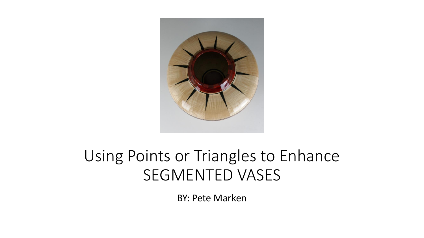

## Using Points or Triangles to Enhance SEGMENTED VASES

BY: Pete Marken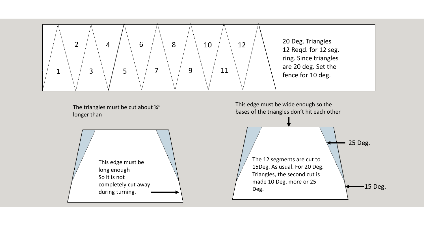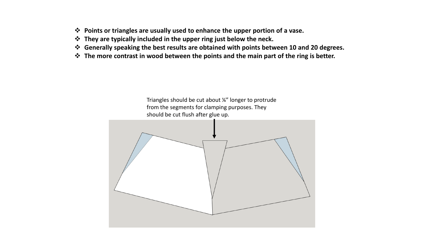- ❖ **Points or triangles are usually used to enhance the upper portion of a vase.**
- ❖ **They are typically included in the upper ring just below the neck.**
- ❖ **Generally speaking the best results are obtained with points between 10 and 20 degrees.**
- ❖ **The more contrast in wood between the points and the main part of the ring is better.**

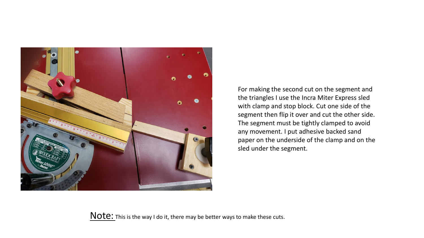

For making the second cut on the segment and the triangles I use the Incra Miter Express sled with clamp and stop block. Cut one side of the segment then flip it over and cut the other side. The segment must be tightly clamped to avoid any movement. I put adhesive backed sand paper on the underside of the clamp and on the sled under the segment.

Note: This is the way I do it, there may be better ways to make these cuts.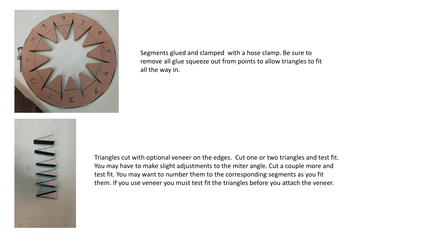

Segments glued and clamped with a hose clamp. Be sure to remove all glue squeeze out from points to allow triangles to fit all the way in.

Triangles cut with optional veneer on the edges. Cut one or two triangles and test fit. You may have to make slight adjustments to the miter angle. Cut a couple more and test fit. You may want to number them to the corresponding segments as you fit them. If you use veneer you must test fit the triangles before you attach the veneer.